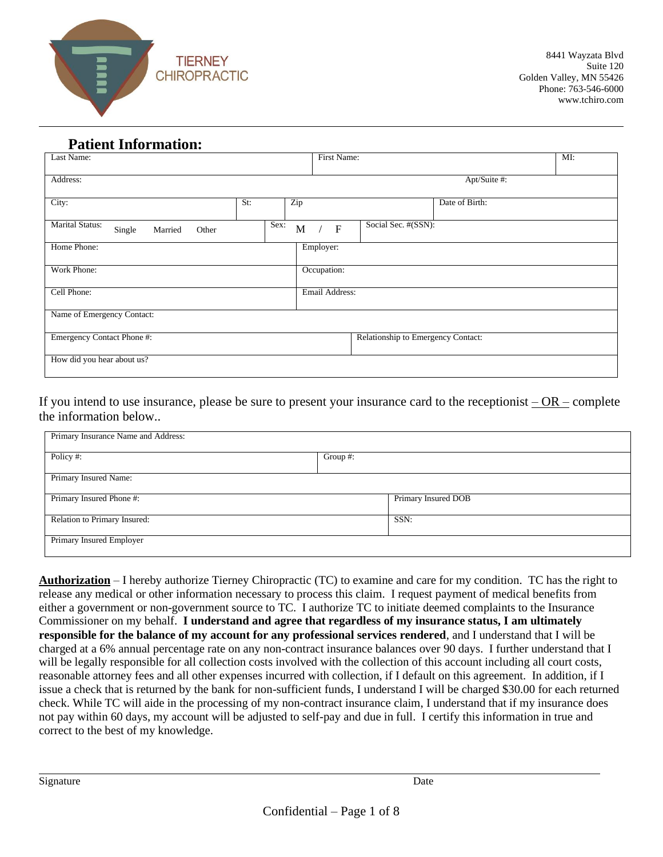

# **Patient Information:**

| Last Name:                                           |      | First Name:      |                                    |                | MI: |
|------------------------------------------------------|------|------------------|------------------------------------|----------------|-----|
| Address:                                             |      |                  |                                    | Apt/Suite #:   |     |
| City:                                                | St:  | Zip              |                                    | Date of Birth: |     |
| <b>Marital Status:</b><br>Single<br>Married<br>Other | Sex: | M<br>$\mathbf F$ | Social Sec. #(SSN):                |                |     |
| Home Phone:                                          |      | Employer:        |                                    |                |     |
| Work Phone:                                          |      | Occupation:      |                                    |                |     |
| Cell Phone:                                          |      | Email Address:   |                                    |                |     |
| Name of Emergency Contact:                           |      |                  |                                    |                |     |
| Emergency Contact Phone #:                           |      |                  | Relationship to Emergency Contact: |                |     |
| How did you hear about us?                           |      |                  |                                    |                |     |

If you intend to use insurance, please be sure to present your insurance card to the receptionist  $-OR$  – complete the information below..

| Primary Insurance Name and Address: |             |                     |  |
|-------------------------------------|-------------|---------------------|--|
| Policy#:                            | Group $#$ : |                     |  |
| Primary Insured Name:               |             |                     |  |
| Primary Insured Phone #:            |             | Primary Insured DOB |  |
| Relation to Primary Insured:        | SSN:        |                     |  |
| Primary Insured Employer            |             |                     |  |

**Authorization** – I hereby authorize Tierney Chiropractic (TC) to examine and care for my condition. TC has the right to release any medical or other information necessary to process this claim. I request payment of medical benefits from either a government or non-government source to TC. I authorize TC to initiate deemed complaints to the Insurance Commissioner on my behalf. **I understand and agree that regardless of my insurance status, I am ultimately responsible for the balance of my account for any professional services rendered**, and I understand that I will be charged at a 6% annual percentage rate on any non-contract insurance balances over 90 days. I further understand that I will be legally responsible for all collection costs involved with the collection of this account including all court costs, reasonable attorney fees and all other expenses incurred with collection, if I default on this agreement. In addition, if I issue a check that is returned by the bank for non-sufficient funds, I understand I will be charged \$30.00 for each returned check. While TC will aide in the processing of my non-contract insurance claim, I understand that if my insurance does not pay within 60 days, my account will be adjusted to self-pay and due in full. I certify this information in true and correct to the best of my knowledge.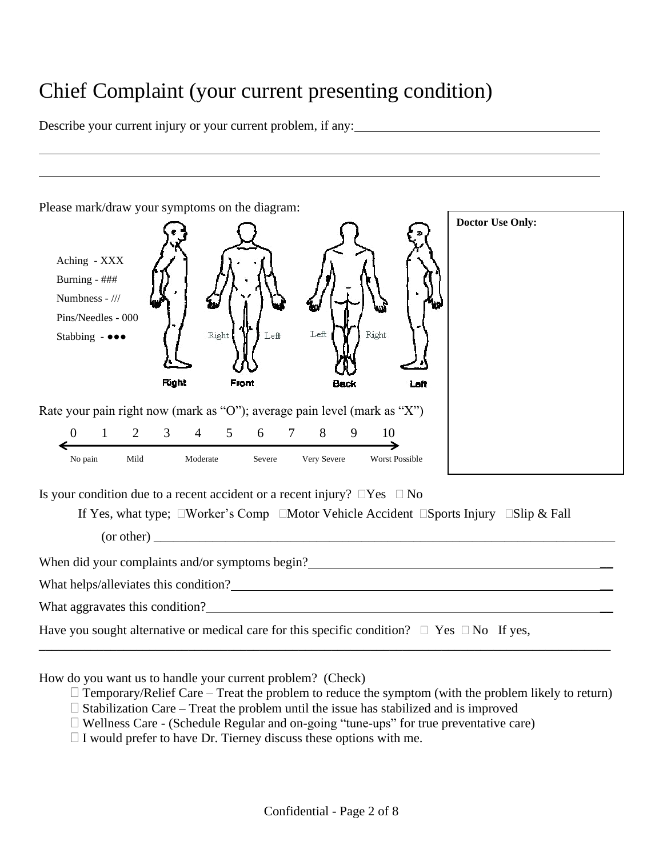# Chief Complaint (your current presenting condition)

Describe your current injury or your current problem, if any:



How do you want us to handle your current problem? (Check)

- $\Box$  Temporary/Relief Care Treat the problem to reduce the symptom (with the problem likely to return)
- $\Box$  Stabilization Care Treat the problem until the issue has stabilized and is improved
- $\Box$  Wellness Care (Schedule Regular and on-going "tune-ups" for true preventative care)

 $\Box$  I would prefer to have Dr. Tierney discuss these options with me.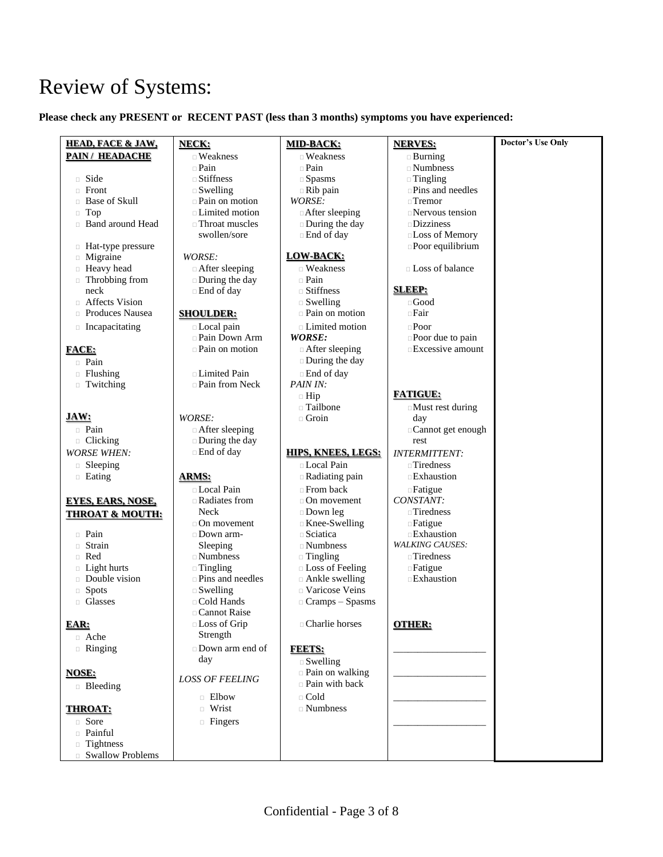# Review of Systems:

### **Please check any PRESENT or RECENT PAST (less than 3 months) symptoms you have experienced:**

| <b>HEAD, FACE &amp; JAW,</b>     | NECK:                                 | <b>MID-BACK:</b>                     | <b>NERVES:</b>                      | <b>Doctor's Use Only</b> |
|----------------------------------|---------------------------------------|--------------------------------------|-------------------------------------|--------------------------|
| <b>PAIN/ HEADACHE</b>            | $\Box$ Weakness                       | $\Box$ Weakness                      | $\Box$ Burning                      |                          |
|                                  | $\Box$ Pain                           | $\Box$ Pain                          | $\square$ Numbness                  |                          |
| $\Box$ Side                      | $\square$ Stiffness                   | $\square$ Spasms                     | $\Box$ Tingling                     |                          |
| $\Box$ Front                     | $\square$ Swelling                    | $\Box$ Rib pain                      | $\square$ Pins and needles          |                          |
| □ Base of Skull                  | <b>Pain on motion</b>                 | WORSE:                               | $\Box$ Tremor                       |                          |
| $\Box$ Top                       | $\Box$ Limited motion                 | After sleeping                       | $\Box$ Nervous tension              |                          |
| <b>Band around Head</b>          | $\Box$ Throat muscles                 | $\square$ During the day             | $\square$ Dizziness                 |                          |
|                                  | swollen/sore                          | $\Box$ End of day                    | <b>Loss of Memory</b>               |                          |
| □ Hat-type pressure              |                                       |                                      | $\square$ Poor equilibrium          |                          |
| $\Box$ Migraine                  | WORSE:                                | <b>LOW-BACK:</b>                     |                                     |                          |
| <b>Example Head</b>              | □ After sleeping                      | $\Box$ Weakness                      | □ Loss of balance                   |                          |
| □ Throbbing from                 | □ During the day                      | $\Box$ Pain                          |                                     |                          |
| neck                             | □ End of day                          | $\Box$ Stiffness                     | <b>SLEEP:</b>                       |                          |
| Affects Vision                   |                                       | $\square$ Swelling                   | $\Box$ Good                         |                          |
| $\Box$ Produces Nausea           | <b>SHOULDER:</b>                      | $\Box$ Pain on motion                | $\Box$ Fair                         |                          |
| $\Box$ Incapacitating            | □ Local pain                          | □ Limited motion                     | $\Box$ Poor                         |                          |
|                                  | $\Box$ Pain Down Arm                  | WORSE:                               | $\square$ Poor due to pain          |                          |
| <b>FACE:</b>                     | <b>Pain on motion</b>                 | $\Box$ After sleeping                | $\Box$ Excessive amount             |                          |
| <b>Pain</b>                      |                                       | $\square$ During the day             |                                     |                          |
| $\Box$ Flushing                  | □ Limited Pain                        | $\Box$ End of day                    |                                     |                          |
| Twitching                        | $\Box$ Pain from Neck                 | PAIN IN:                             |                                     |                          |
|                                  |                                       | $\Box$ Hip                           | <b>FATIGUE:</b>                     |                          |
|                                  |                                       | □ Tailbone                           | $\Box$ Must rest during             |                          |
| JAW:                             | WORSE:                                | $\Box$ Groin                         | day                                 |                          |
| $\Box$ Pain                      | $\Box$ After sleeping                 |                                      | □ Cannot get enough                 |                          |
| $\Box$ Clicking                  | $\Box$ During the day                 |                                      | rest                                |                          |
| <b>WORSE WHEN:</b>               | □ End of day                          | <b>HIPS, KNEES, LEGS:</b>            | <b>INTERMITTENT:</b>                |                          |
| $\Box$ Sleeping                  |                                       | □ Local Pain                         | $\Box$ Tiredness                    |                          |
| $\Box$ Eating                    | <b>ARMS:</b>                          | $\Box$ Radiating pain                | $\Box$ Exhaustion                   |                          |
|                                  | <b>Local Pain</b>                     | $\Box$ From back                     | $\Box$ Fatigue                      |                          |
| <b>EYES, EARS, NOSE,</b>         | □ Radiates from                       | $\Box$ On movement                   | CONSTANT:                           |                          |
| <b>THROAT &amp; MOUTH:</b>       | Neck                                  | $\square$ Down leg                   | $\Box$ Tiredness                    |                          |
|                                  | $\Box$ On movement                    | $\Box$ Knee-Swelling                 | $\Box$ Fatigue                      |                          |
| $\Box$ Pain                      | $\Box$ Down arm-                      | $\Box$ Sciatica                      | <b>Exhaustion</b>                   |                          |
| $\Box$ Strain                    | Sleeping<br>$\Box$ Numbness           | $\Box$ Numbness                      | <b>WALKING CAUSES:</b>              |                          |
| $\Box$ Red<br>$\Box$ Light hurts |                                       | $\Box$ Tingling<br>□ Loss of Feeling | $\Box$ Tiredness                    |                          |
| Double vision                    | $\Box$ Tingling<br>□ Pins and needles | $\Box$ Ankle swelling                | $\Box$ Fatigue<br><b>Exhaustion</b> |                          |
| $\Box$ Spots                     | $\square$ Swelling                    | □ Varicose Veins                     |                                     |                          |
| <b>Glasses</b>                   | □ Cold Hands                          | $\Box$ Cramps – Spasms               |                                     |                          |
|                                  | $\Box$ Cannot Raise                   |                                      |                                     |                          |
| EAR:                             | □ Loss of Grip                        | □ Charlie horses                     | <b>OTHER:</b>                       |                          |
| □ Ache                           | Strength                              |                                      |                                     |                          |
| $\Box$ Ringing                   | Down arm end of                       | <b>FEETS:</b>                        |                                     |                          |
|                                  | day                                   | $\square$ Swelling                   |                                     |                          |
| <b>NOSE:</b>                     |                                       | <b>Pain on walking</b>               |                                     |                          |
|                                  | <b>LOSS OF FEELING</b>                | $\Box$ Pain with back                |                                     |                          |
| <b>Bleeding</b>                  | $\Box$ Elbow                          | $\Box$ Cold                          |                                     |                          |
| <b>THROAT:</b>                   | □ Wrist                               | $\Box$ Numbness                      |                                     |                          |
|                                  |                                       |                                      |                                     |                          |
| □ Sore<br>n Painful              | $\Box$ Fingers                        |                                      |                                     |                          |
|                                  |                                       |                                      |                                     |                          |
| $\Box$ Tightness                 |                                       |                                      |                                     |                          |
| $\hfill \Box$ Swallow Problems   |                                       |                                      |                                     |                          |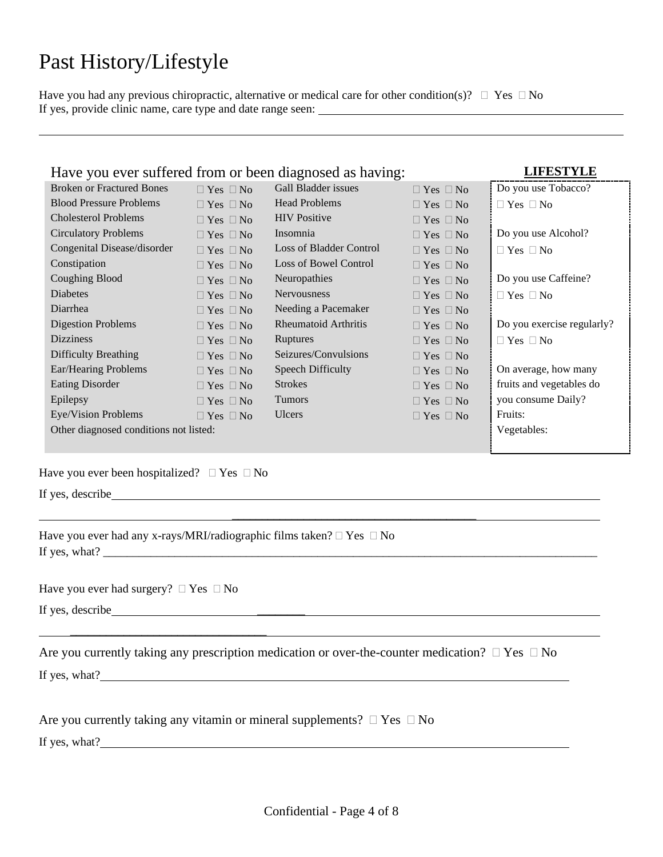# Past History/Lifestyle

Have you had any previous chiropractic, alternative or medical care for other condition(s)?  $\Box$  Yes  $\Box$  No If yes, provide clinic name, care type and date range seen:

| Have you ever suffered from or been diagnosed as having: |                      |                     |                      | <b>LIFESTYLE</b><br>,,,,,,,,,,,,,,,,,,,,,,,,,,,,,,,,,,,,, |
|----------------------------------------------------------|----------------------|---------------------|----------------------|-----------------------------------------------------------|
| <b>Broken or Fractured Bones</b>                         | $\Box$ Yes $\Box$ No | Gall Bladder issues | $\Box$ Yes $\Box$ No | Do you use Tobacco?                                       |
|                                                          |                      |                     |                      |                                                           |

| <b>Blood Pressure Problems</b>         | $\Box$ Yes $\Box$ No | <b>Head Problems</b>    | $\Box$ Yes $\Box$ No | $\Box$ Yes $\Box$ No       |
|----------------------------------------|----------------------|-------------------------|----------------------|----------------------------|
| <b>Cholesterol Problems</b>            | $\Box$ Yes $\Box$ No | <b>HIV</b> Positive     | $\Box$ Yes $\Box$ No |                            |
| <b>Circulatory Problems</b>            | $\Box$ Yes $\Box$ No | Insomnia                | $\Box$ Yes $\Box$ No | Do you use Alcohol?        |
| Congenital Disease/disorder            | $\Box$ Yes $\Box$ No | Loss of Bladder Control | $\Box$ Yes $\Box$ No | $\Box$ Yes $\Box$ No       |
| Constipation                           | $\Box$ Yes $\Box$ No | Loss of Bowel Control   | $\Box$ Yes $\Box$ No |                            |
| <b>Coughing Blood</b>                  | $\Box$ Yes $\Box$ No | Neuropathies            | $\Box$ Yes $\Box$ No | Do you use Caffeine?       |
| <b>Diabetes</b>                        | $\Box$ Yes $\Box$ No | <b>Nervousness</b>      | $\Box$ Yes $\Box$ No | $\Box$ Yes $\Box$ No       |
| Diarrhea                               | $\Box$ Yes $\Box$ No | Needing a Pacemaker     | $\Box$ Yes $\Box$ No |                            |
| Digestion Problems                     | $\Box$ Yes $\Box$ No | Rheumatoid Arthritis    | $\Box$ Yes $\Box$ No | Do you exercise regularly? |
| <b>Dizziness</b>                       | $\Box$ Yes $\Box$ No | <b>Ruptures</b>         | $\Box$ Yes $\Box$ No | $\Box$ Yes $\Box$ No       |
| Difficulty Breathing                   | $\Box$ Yes $\Box$ No | Seizures/Convulsions    | $\Box$ Yes $\Box$ No |                            |
| Ear/Hearing Problems                   | $\Box$ Yes $\Box$ No | Speech Difficulty       | $\Box$ Yes $\Box$ No | On average, how many       |
| <b>Eating Disorder</b>                 | $\Box$ Yes $\Box$ No | <b>Strokes</b>          | $\Box$ Yes $\Box$ No | fruits and vegetables do   |
| Epilepsy                               | $\Box$ Yes $\Box$ No | <b>Tumors</b>           | $\Box$ Yes $\Box$ No | you consume Daily?         |
| Eye/Vision Problems                    | $\Box$ Yes $\Box$ No | <b>Ulcers</b>           | $\Box$ Yes $\Box$ No | Fruits:                    |
| Other diagnosed conditions not listed: |                      |                         |                      | Vegetables:                |
|                                        |                      |                         |                      |                            |

 $\overline{\phantom{a}}$  , and the set of the set of the set of the set of the set of the set of the set of the set of the set of the set of the set of the set of the set of the set of the set of the set of the set of the set of the s

Have you ever been hospitalized?  $\Box$  Yes  $\Box$  No

If yes, describe

Have you ever had any x-rays/MRI/radiographic films taken?  $\Box$  Yes  $\Box$  No If yes, what? \_\_\_\_\_\_\_\_\_\_\_\_\_\_\_\_\_\_\_\_\_\_\_\_\_\_\_\_\_\_\_\_\_\_\_\_\_\_\_\_\_\_\_\_\_\_\_\_\_\_\_\_\_\_\_\_\_\_\_\_\_\_\_\_\_\_\_\_\_\_\_\_\_\_\_\_\_\_\_\_\_\_\_

Have you ever had surgery?  $\Box$  Yes  $\Box$  No

\_\_\_\_\_\_\_\_\_\_\_\_\_\_\_\_\_\_\_\_\_\_\_\_\_\_\_\_\_\_\_\_\_

If yes, describe \_\_\_\_\_\_\_\_

| Are you currently taking any prescription medication or over-the-counter medication? $\Box$ Yes $\Box$ No |  |
|-----------------------------------------------------------------------------------------------------------|--|
| If yes, what?                                                                                             |  |

Are you currently taking any vitamin or mineral supplements?  $\Box$  Yes  $\Box$  No

If yes, what?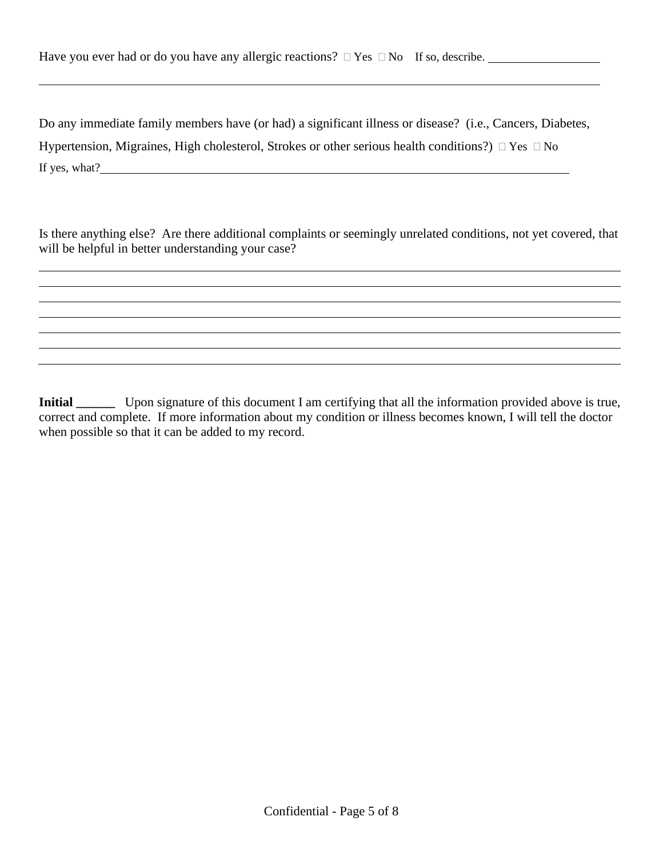Do any immediate family members have (or had) a significant illness or disease? (i.e., Cancers, Diabetes, Hypertension, Migraines, High cholesterol, Strokes or other serious health conditions?)  $\Box$  Yes  $\Box$  No If yes, what?

Is there anything else? Are there additional complaints or seemingly unrelated conditions, not yet covered, that will be helpful in better understanding your case?

**Initial** Upon signature of this document I am certifying that all the information provided above is true, correct and complete. If more information about my condition or illness becomes known, I will tell the doctor when possible so that it can be added to my record.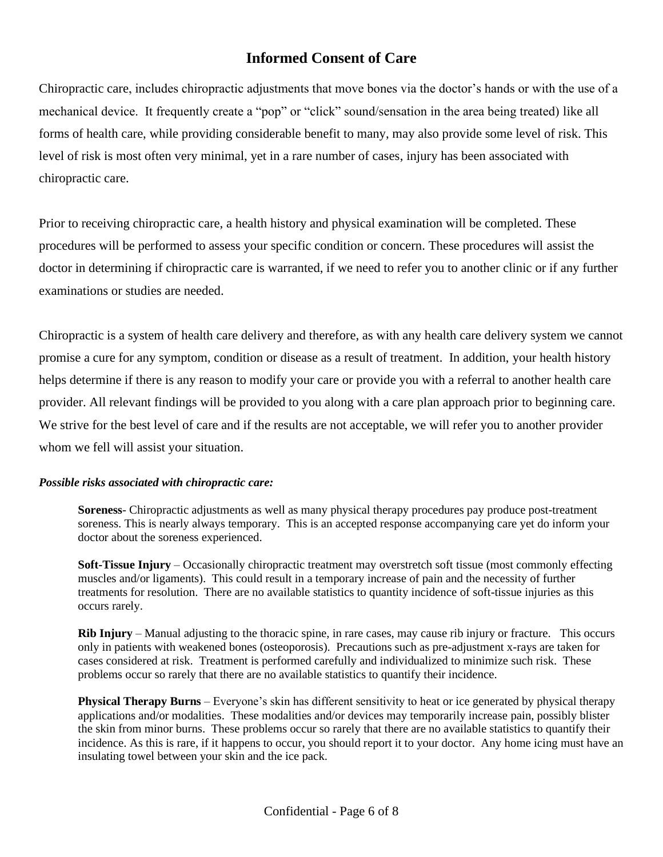# **Informed Consent of Care**

Chiropractic care, includes chiropractic adjustments that move bones via the doctor's hands or with the use of a mechanical device. It frequently create a "pop" or "click" sound/sensation in the area being treated) like all forms of health care, while providing considerable benefit to many, may also provide some level of risk. This level of risk is most often very minimal, yet in a rare number of cases, injury has been associated with chiropractic care.

Prior to receiving chiropractic care, a health history and physical examination will be completed. These procedures will be performed to assess your specific condition or concern. These procedures will assist the doctor in determining if chiropractic care is warranted, if we need to refer you to another clinic or if any further examinations or studies are needed.

Chiropractic is a system of health care delivery and therefore, as with any health care delivery system we cannot promise a cure for any symptom, condition or disease as a result of treatment. In addition, your health history helps determine if there is any reason to modify your care or provide you with a referral to another health care provider. All relevant findings will be provided to you along with a care plan approach prior to beginning care. We strive for the best level of care and if the results are not acceptable, we will refer you to another provider whom we fell will assist your situation.

#### *Possible risks associated with chiropractic care:*

**Soreness**- Chiropractic adjustments as well as many physical therapy procedures pay produce post-treatment soreness. This is nearly always temporary. This is an accepted response accompanying care yet do inform your doctor about the soreness experienced.

**Soft-Tissue Injury** – Occasionally chiropractic treatment may overstretch soft tissue (most commonly effecting muscles and/or ligaments). This could result in a temporary increase of pain and the necessity of further treatments for resolution. There are no available statistics to quantity incidence of soft-tissue injuries as this occurs rarely.

**Rib Injury** – Manual adjusting to the thoracic spine, in rare cases, may cause rib injury or fracture. This occurs only in patients with weakened bones (osteoporosis). Precautions such as pre-adjustment x-rays are taken for cases considered at risk. Treatment is performed carefully and individualized to minimize such risk. These problems occur so rarely that there are no available statistics to quantify their incidence.

**Physical Therapy Burns** – Everyone's skin has different sensitivity to heat or ice generated by physical therapy applications and/or modalities. These modalities and/or devices may temporarily increase pain, possibly blister the skin from minor burns. These problems occur so rarely that there are no available statistics to quantify their incidence. As this is rare, if it happens to occur, you should report it to your doctor. Any home icing must have an insulating towel between your skin and the ice pack.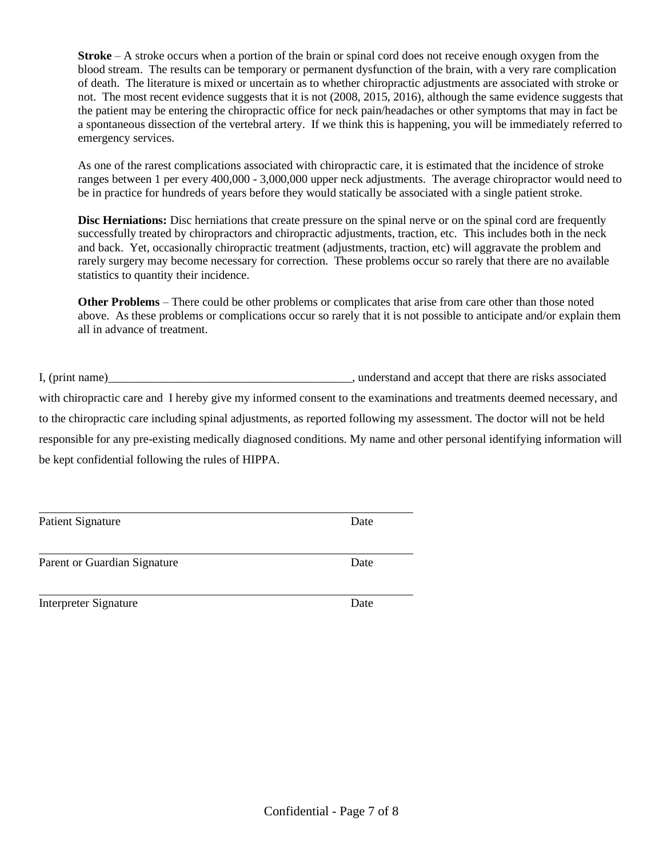**Stroke** – A stroke occurs when a portion of the brain or spinal cord does not receive enough oxygen from the blood stream. The results can be temporary or permanent dysfunction of the brain, with a very rare complication of death. The literature is mixed or uncertain as to whether chiropractic adjustments are associated with stroke or not. The most recent evidence suggests that it is not (2008, 2015, 2016), although the same evidence suggests that the patient may be entering the chiropractic office for neck pain/headaches or other symptoms that may in fact be a spontaneous dissection of the vertebral artery. If we think this is happening, you will be immediately referred to emergency services.

As one of the rarest complications associated with chiropractic care, it is estimated that the incidence of stroke ranges between 1 per every 400,000 - 3,000,000 upper neck adjustments. The average chiropractor would need to be in practice for hundreds of years before they would statically be associated with a single patient stroke.

**Disc Herniations:** Disc herniations that create pressure on the spinal nerve or on the spinal cord are frequently successfully treated by chiropractors and chiropractic adjustments, traction, etc. This includes both in the neck and back. Yet, occasionally chiropractic treatment (adjustments, traction, etc) will aggravate the problem and rarely surgery may become necessary for correction. These problems occur so rarely that there are no available statistics to quantity their incidence.

**Other Problems** – There could be other problems or complicates that arise from care other than those noted above. As these problems or complications occur so rarely that it is not possible to anticipate and/or explain them all in advance of treatment.

I, (print name) we can also controlled the set of the set of the set of that there are risks associated

with chiropractic care and I hereby give my informed consent to the examinations and treatments deemed necessary, and to the chiropractic care including spinal adjustments, as reported following my assessment. The doctor will not be held responsible for any pre-existing medically diagnosed conditions. My name and other personal identifying information will be kept confidential following the rules of HIPPA.

Patient Signature Date

Parent or Guardian Signature Date

Interpreter Signature Date